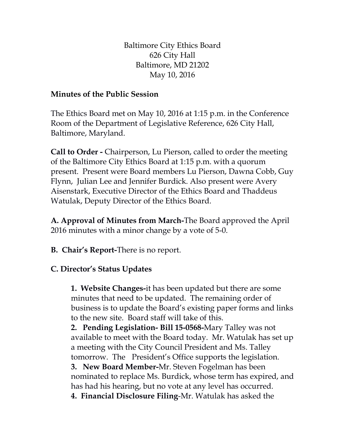Baltimore City Ethics Board 626 City Hall Baltimore, MD 21202 May 10, 2016

## **Minutes of the Public Session**

The Ethics Board met on May 10, 2016 at 1:15 p.m. in the Conference Room of the Department of Legislative Reference, 626 City Hall, Baltimore, Maryland.

**Call to Order -** Chairperson, Lu Pierson, called to order the meeting of the Baltimore City Ethics Board at 1:15 p.m. with a quorum present. Present were Board members Lu Pierson, Dawna Cobb, Guy Flynn, Julian Lee and Jennifer Burdick. Also present were Avery Aisenstark, Executive Director of the Ethics Board and Thaddeus Watulak, Deputy Director of the Ethics Board.

**A. Approval of Minutes from March-**The Board approved the April 2016 minutes with a minor change by a vote of 5-0.

**B. Chair's Report-**There is no report.

## **C. Director's Status Updates**

**1. Website Changes-**it has been updated but there are some minutes that need to be updated. The remaining order of business is to update the Board's existing paper forms and links to the new site. Board staff will take of this.

**2. Pending Legislation- Bill 15-0568-**Mary Talley was not available to meet with the Board today. Mr. Watulak has set up a meeting with the City Council President and Ms. Talley tomorrow. The President's Office supports the legislation. **3. New Board Member-**Mr. Steven Fogelman has been

nominated to replace Ms. Burdick, whose term has expired, and has had his hearing, but no vote at any level has occurred.

**4. Financial Disclosure Filing**-Mr. Watulak has asked the